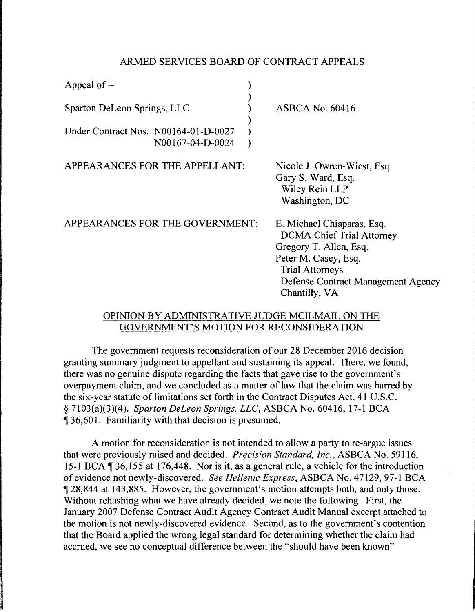## ARMED SERVICES BOARD OF CONTRACT APPEALS

| Appeal of --                                                        |                                                                                                                                                                                                   |
|---------------------------------------------------------------------|---------------------------------------------------------------------------------------------------------------------------------------------------------------------------------------------------|
| Sparton DeLeon Springs, LLC<br>Under Contract Nos. N00164-01-D-0027 | $ASBCA$ No. 60416                                                                                                                                                                                 |
| N00167-04-D-0024                                                    |                                                                                                                                                                                                   |
| APPEARANCES FOR THE APPELLANT:                                      | Nicole J. Owren-Wiest, Esq.<br>Gary S. Ward, Esq.<br>Wiley Rein LLP<br>Washington, DC                                                                                                             |
| APPEARANCES FOR THE GOVERNMENT:                                     | E. Michael Chiaparas, Esq.<br><b>DCMA Chief Trial Attorney</b><br>Gregory T. Allen, Esq.<br>Peter M. Casey, Esq.<br><b>Trial Attorneys</b><br>Defense Contract Management Agency<br>Chantilly, VA |

## OPINION BY ADMINISTRATIVE JUDGE MCILMAIL ON THE GOVERNMENT'S MOTION FOR RECONSIDERATION

The government requests reconsideration of our 28 December 2016 decision granting summary judgment to appellant and sustaining its appeal. There, we found, there was no genuine dispute regarding the facts that gave rise to the government's overpayment claim, and we concluded as a matter of law that the claim was barred by the six-year statute of limitations set forth in the Contract Disputes Act, 41 U.S.C. § 7103(a)(3)(4). *Spartan Deleon Springs, LLC,* ASBCA No. 60416, 17-1 BCA <sup>~</sup>36,601. Familiarity with that decision is presumed.

A motion for reconsideration is not intended to allow a party to re-argue issues that were previously raised and decided. *Precision Standard, Inc.,* ASBCA No. 59116, 15-1 BCA  $\parallel$  36, 155 at 176, 448. Nor is it, as a general rule, a vehicle for the introduction of evidence not newly-discovered. *See Hellenic Express,* ASBCA No. 47129, 97-1 BCA <sup>~</sup>28,844 at 143,885. However, the government's motion attempts both, and only those. Without rehashing what we have already decided, we note the following. First, the January 2007 Defense Contract Audit Agency Contract Audit Manual excerpt attached to the motion is not newly-discovered evidence. Second, as to the government's contention that the Board applied the wrong legal standard for determining whether the claim had accrued, we see no conceptual difference between the "should have been known"